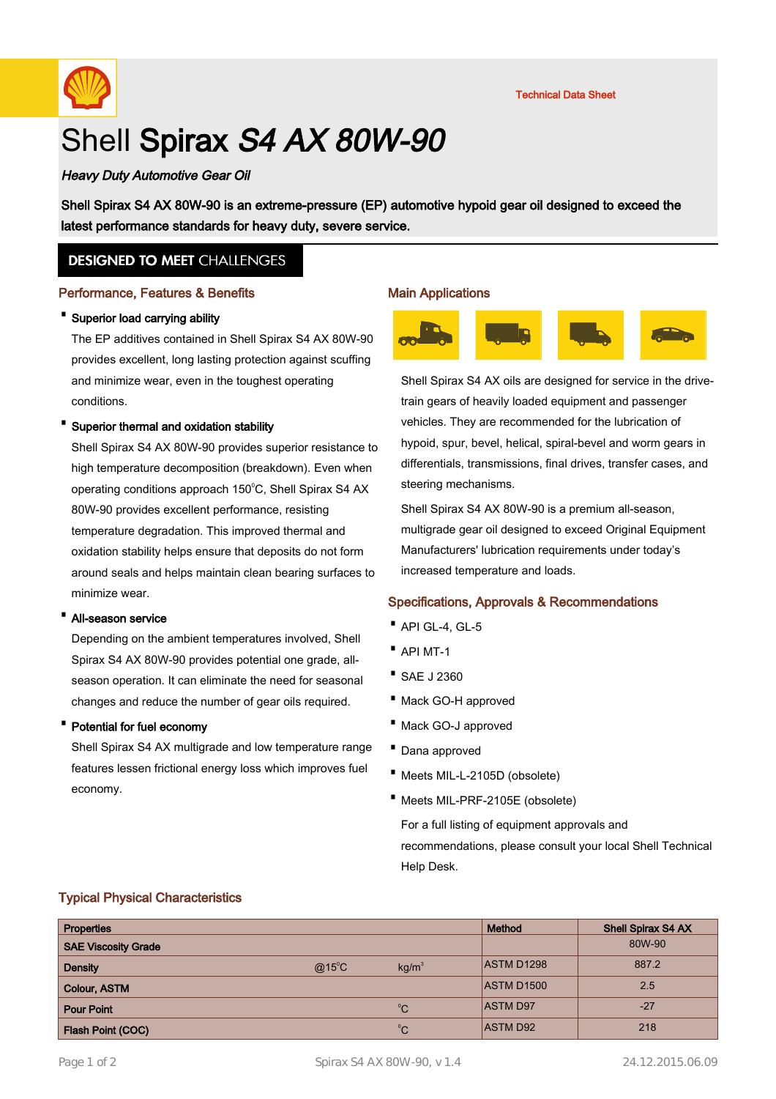

# Shell Spirax S4 AX 80W-90

# Heavy Duty Automotive Gear Oil

Shell Spirax S4 AX 80W-90 is an extreme-pressure (EP) automotive hypoid gear oil designed to exceed the latest performance standards for heavy duty, severe service.

# **DESIGNED TO MEET CHALLENGES**

#### Performance, Features & Benefits

#### · Superior load carrying ability

The EP additives contained in Shell Spirax S4 AX 80W-90 provides excellent, long lasting protection against scuffing and minimize wear, even in the toughest operating conditions.

#### Superior thermal and oxidation stability

Shell Spirax S4 AX 80W-90 provides superior resistance to high temperature decomposition (breakdown). Even when operating conditions approach 150°C, Shell Spirax S4 AX 80W-90 provides excellent performance, resisting temperature degradation. This improved thermal and oxidation stability helps ensure that deposits do not form around seals and helps maintain clean bearing surfaces to minimize wear.

#### · All-season service

Depending on the ambient temperatures involved, Shell Spirax S4 AX 80W-90 provides potential one grade, allseason operation. It can eliminate the need for seasonal changes and reduce the number of gear oils required.

#### · Potential for fuel economy

Shell Spirax S4 AX multigrade and low temperature range features lessen frictional energy loss which improves fuel economy.

#### Main Applications



Shell Spirax S4 AX oils are designed for service in the drivetrain gears of heavily loaded equipment and passenger vehicles. They are recommended for the lubrication of hypoid, spur, bevel, helical, spiral-bevel and worm gears in differentials, transmissions, final drives, transfer cases, and steering mechanisms.

Shell Spirax S4 AX 80W-90 is a premium all-season, multigrade gear oil designed to exceed Original Equipment Manufacturers' lubrication requirements under today's increased temperature and loads.

#### Specifications, Approvals & Recommendations

- · API GL-4, GL-5
- · API MT-1
- · SAE J 2360
- · Mack GO-H approved
- · Mack GO-J approved
- · Dana approved
- · Meets MIL-L-2105D (obsolete)
- · Meets MIL-PRF-2105E (obsolete)

For a full listing of equipment approvals and recommendations, please consult your local Shell Technical Help Desk.

## Typical Physical Characteristics

| <b>Properties</b>          |                 |                   | Method            | <b>Shell Spirax S4 AX</b> |
|----------------------------|-----------------|-------------------|-------------------|---------------------------|
| <b>SAE Viscosity Grade</b> |                 |                   |                   | 80W-90                    |
| <b>Density</b>             | $@15^{\circ}$ C | kg/m <sup>3</sup> | <b>ASTM D1298</b> | 887.2                     |
| <b>Colour, ASTM</b>        |                 |                   | <b>ASTM D1500</b> | 2.5                       |
| <b>Pour Point</b>          |                 | $^{\circ}C$       | <b>ASTM D97</b>   | $-27$                     |
| <b>Flash Point (COC)</b>   |                 | $^{\circ}C$       | <b>ASTM D92</b>   | 218                       |